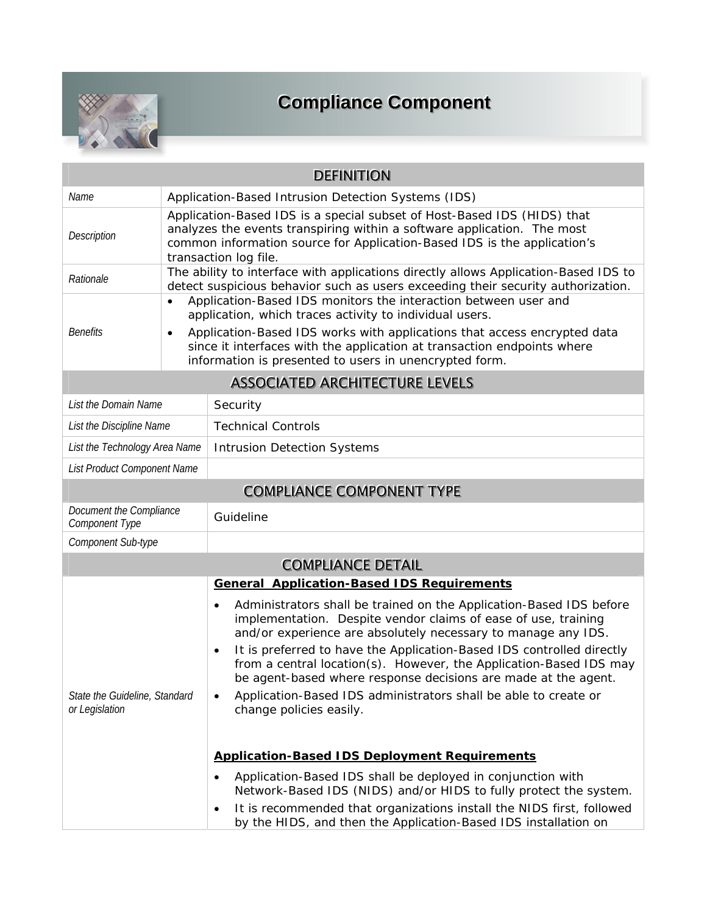

## **Compliance Component**

| <b>DEFINITION</b>                               |                                                                                                                                                                                                                                                         |                                                                                                                                                                                                                                                                                                                                                                                                                                                                                                                           |  |  |  |  |  |  |
|-------------------------------------------------|---------------------------------------------------------------------------------------------------------------------------------------------------------------------------------------------------------------------------------------------------------|---------------------------------------------------------------------------------------------------------------------------------------------------------------------------------------------------------------------------------------------------------------------------------------------------------------------------------------------------------------------------------------------------------------------------------------------------------------------------------------------------------------------------|--|--|--|--|--|--|
| Name                                            | Application-Based Intrusion Detection Systems (IDS)                                                                                                                                                                                                     |                                                                                                                                                                                                                                                                                                                                                                                                                                                                                                                           |  |  |  |  |  |  |
| Description                                     | Application-Based IDS is a special subset of Host-Based IDS (HIDS) that<br>analyzes the events transpiring within a software application. The most<br>common information source for Application-Based IDS is the application's<br>transaction log file. |                                                                                                                                                                                                                                                                                                                                                                                                                                                                                                                           |  |  |  |  |  |  |
| Rationale                                       | The ability to interface with applications directly allows Application-Based IDS to<br>detect suspicious behavior such as users exceeding their security authorization.                                                                                 |                                                                                                                                                                                                                                                                                                                                                                                                                                                                                                                           |  |  |  |  |  |  |
|                                                 | $\bullet$                                                                                                                                                                                                                                               | Application-Based IDS monitors the interaction between user and<br>application, which traces activity to individual users.                                                                                                                                                                                                                                                                                                                                                                                                |  |  |  |  |  |  |
| <b>Benefits</b>                                 | Application-Based IDS works with applications that access encrypted data<br>$\bullet$<br>since it interfaces with the application at transaction endpoints where<br>information is presented to users in unencrypted form.                              |                                                                                                                                                                                                                                                                                                                                                                                                                                                                                                                           |  |  |  |  |  |  |
| <b>ASSOCIATED ARCHITECTURE LEVELS</b>           |                                                                                                                                                                                                                                                         |                                                                                                                                                                                                                                                                                                                                                                                                                                                                                                                           |  |  |  |  |  |  |
| List the Domain Name                            |                                                                                                                                                                                                                                                         | Security                                                                                                                                                                                                                                                                                                                                                                                                                                                                                                                  |  |  |  |  |  |  |
| List the Discipline Name                        |                                                                                                                                                                                                                                                         | <b>Technical Controls</b>                                                                                                                                                                                                                                                                                                                                                                                                                                                                                                 |  |  |  |  |  |  |
| List the Technology Area Name                   |                                                                                                                                                                                                                                                         | <b>Intrusion Detection Systems</b>                                                                                                                                                                                                                                                                                                                                                                                                                                                                                        |  |  |  |  |  |  |
| List Product Component Name                     |                                                                                                                                                                                                                                                         |                                                                                                                                                                                                                                                                                                                                                                                                                                                                                                                           |  |  |  |  |  |  |
|                                                 |                                                                                                                                                                                                                                                         | <b>COMPLIANCE COMPONENT TYPE</b>                                                                                                                                                                                                                                                                                                                                                                                                                                                                                          |  |  |  |  |  |  |
| Document the Compliance<br>Component Type       |                                                                                                                                                                                                                                                         | Guideline                                                                                                                                                                                                                                                                                                                                                                                                                                                                                                                 |  |  |  |  |  |  |
| Component Sub-type                              |                                                                                                                                                                                                                                                         |                                                                                                                                                                                                                                                                                                                                                                                                                                                                                                                           |  |  |  |  |  |  |
|                                                 |                                                                                                                                                                                                                                                         | <b>COMPLIANCE DETAIL</b>                                                                                                                                                                                                                                                                                                                                                                                                                                                                                                  |  |  |  |  |  |  |
|                                                 |                                                                                                                                                                                                                                                         | <b>General Application-Based IDS Requirements</b>                                                                                                                                                                                                                                                                                                                                                                                                                                                                         |  |  |  |  |  |  |
| State the Guideline, Standard<br>or Legislation |                                                                                                                                                                                                                                                         | Administrators shall be trained on the Application-Based IDS before<br>٠<br>implementation. Despite vendor claims of ease of use, training<br>and/or experience are absolutely necessary to manage any IDS.<br>It is preferred to have the Application-Based IDS controlled directly<br>$\bullet$<br>from a central location(s). However, the Application-Based IDS may<br>be agent-based where response decisions are made at the agent.<br>Application-Based IDS administrators shall be able to create or<br>$\bullet$ |  |  |  |  |  |  |
|                                                 |                                                                                                                                                                                                                                                         | change policies easily.<br><b>Application-Based IDS Deployment Requirements</b><br>Application-Based IDS shall be deployed in conjunction with<br>$\bullet$                                                                                                                                                                                                                                                                                                                                                               |  |  |  |  |  |  |
|                                                 |                                                                                                                                                                                                                                                         | Network-Based IDS (NIDS) and/or HIDS to fully protect the system.<br>It is recommended that organizations install the NIDS first, followed<br>$\bullet$<br>by the HIDS, and then the Application-Based IDS installation on                                                                                                                                                                                                                                                                                                |  |  |  |  |  |  |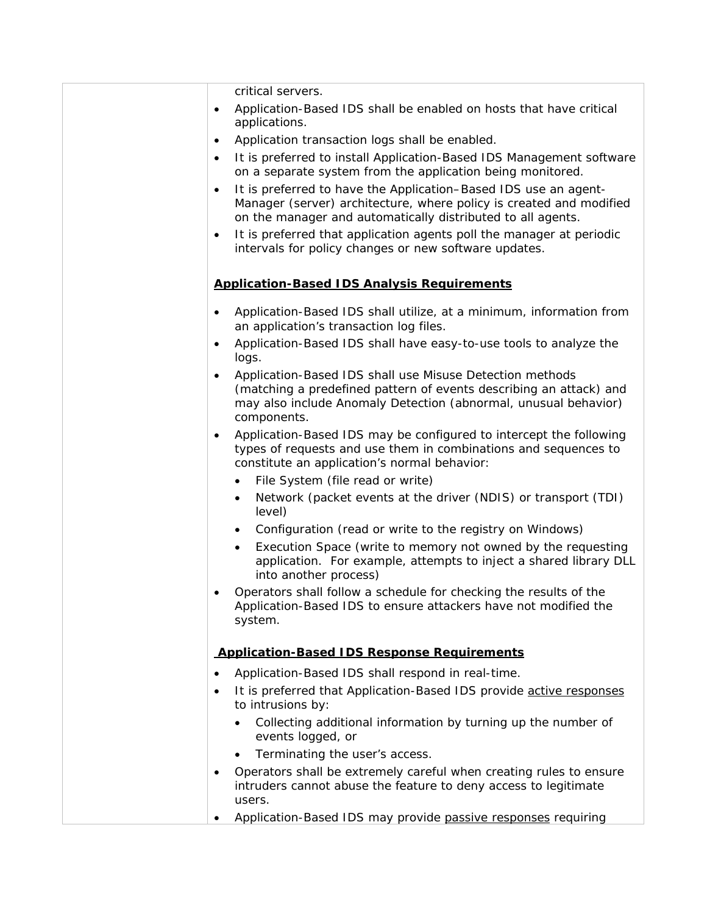critical servers.

- Application-Based IDS shall be enabled on hosts that have critical applications.
- Application transaction logs shall be enabled.
- It is preferred to install Application-Based IDS Management software on a separate system from the application being monitored.
- It is preferred to have the Application–Based IDS use an agent-Manager (server) architecture, where policy is created and modified on the manager and automatically distributed to all agents.
- It is preferred that application agents poll the manager at periodic intervals for policy changes or new software updates.

## **Application-Based IDS Analysis Requirements**

- Application-Based IDS shall utilize, at a minimum, information from an application's transaction log files.
- Application-Based IDS shall have easy-to-use tools to analyze the logs.
- Application-Based IDS shall use Misuse Detection methods (matching a predefined pattern of events describing an attack) and may also include Anomaly Detection (abnormal, unusual behavior) components.
- Application-Based IDS may be configured to intercept the following types of requests and use them in combinations and sequences to constitute an application's normal behavior:
	- File System (file read or write)
	- Network (packet events at the driver (NDIS) or transport (TDI) level)
	- Configuration (read or write to the registry on Windows)
	- Execution Space (write to memory not owned by the requesting application. For example, attempts to inject a shared library DLL into another process)
- Operators shall follow a schedule for checking the results of the Application-Based IDS to ensure attackers have not modified the system.

## **Application-Based IDS Response Requirements**

- Application-Based IDS shall respond in real-time.
- It is preferred that Application-Based IDS provide active responses to intrusions by:
	- Collecting additional information by turning up the number of events logged, or
	- Terminating the user's access.
- Operators shall be extremely careful when creating rules to ensure intruders cannot abuse the feature to deny access to legitimate users.
- Application-Based IDS may provide passive responses requiring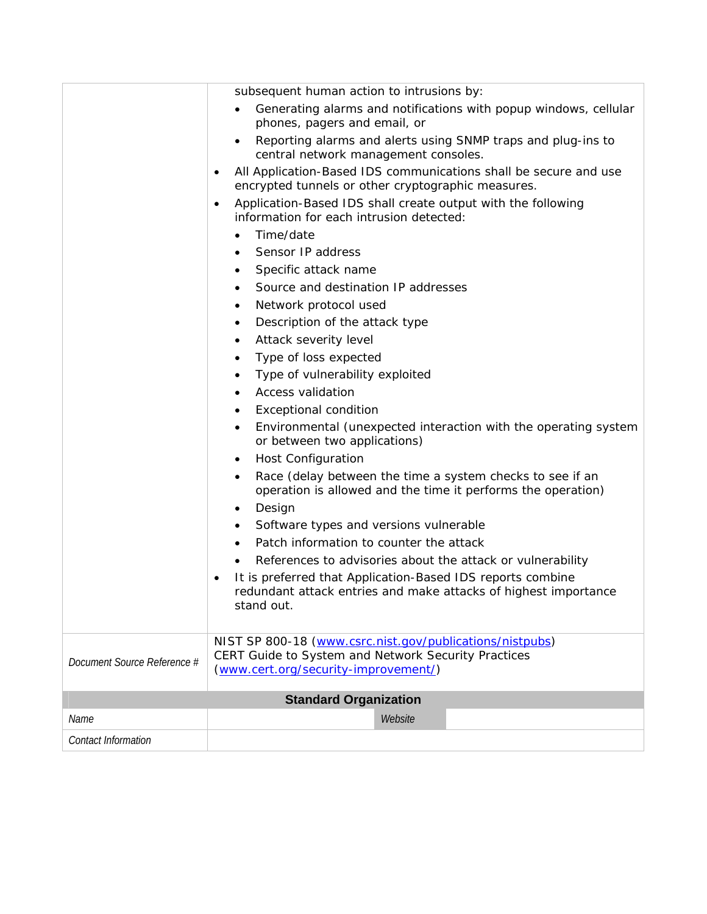|                              | subsequent human action to intrusions by:                                                                                                   |  |  |  |  |  |  |
|------------------------------|---------------------------------------------------------------------------------------------------------------------------------------------|--|--|--|--|--|--|
|                              | Generating alarms and notifications with popup windows, cellular<br>$\bullet$<br>phones, pagers and email, or                               |  |  |  |  |  |  |
|                              | Reporting alarms and alerts using SNMP traps and plug-ins to<br>central network management consoles.                                        |  |  |  |  |  |  |
|                              | All Application-Based IDS communications shall be secure and use<br>$\bullet$<br>encrypted tunnels or other cryptographic measures.         |  |  |  |  |  |  |
|                              | Application-Based IDS shall create output with the following<br>$\bullet$<br>information for each intrusion detected:                       |  |  |  |  |  |  |
|                              | Time/date<br>$\bullet$                                                                                                                      |  |  |  |  |  |  |
|                              | Sensor IP address                                                                                                                           |  |  |  |  |  |  |
|                              | Specific attack name<br>$\bullet$                                                                                                           |  |  |  |  |  |  |
|                              | Source and destination IP addresses<br>$\bullet$                                                                                            |  |  |  |  |  |  |
|                              | Network protocol used<br>٠                                                                                                                  |  |  |  |  |  |  |
|                              | Description of the attack type<br>٠                                                                                                         |  |  |  |  |  |  |
|                              | Attack severity level<br>$\bullet$                                                                                                          |  |  |  |  |  |  |
|                              | Type of loss expected<br>$\bullet$                                                                                                          |  |  |  |  |  |  |
|                              | Type of vulnerability exploited<br>٠                                                                                                        |  |  |  |  |  |  |
|                              | <b>Access validation</b><br>$\bullet$                                                                                                       |  |  |  |  |  |  |
|                              | <b>Exceptional condition</b><br>٠                                                                                                           |  |  |  |  |  |  |
|                              | Environmental (unexpected interaction with the operating system<br>$\bullet$<br>or between two applications)                                |  |  |  |  |  |  |
|                              | <b>Host Configuration</b>                                                                                                                   |  |  |  |  |  |  |
|                              | Race (delay between the time a system checks to see if an<br>$\bullet$<br>operation is allowed and the time it performs the operation)      |  |  |  |  |  |  |
|                              | Design<br>$\bullet$                                                                                                                         |  |  |  |  |  |  |
|                              | Software types and versions vulnerable<br>$\bullet$                                                                                         |  |  |  |  |  |  |
|                              | Patch information to counter the attack                                                                                                     |  |  |  |  |  |  |
|                              | References to advisories about the attack or vulnerability                                                                                  |  |  |  |  |  |  |
|                              | It is preferred that Application-Based IDS reports combine<br>redundant attack entries and make attacks of highest importance<br>stand out. |  |  |  |  |  |  |
|                              | NIST SP 800-18 (www.csrc.nist.gov/publications/nistpubs)                                                                                    |  |  |  |  |  |  |
| Document Source Reference #  | CERT Guide to System and Network Security Practices                                                                                         |  |  |  |  |  |  |
|                              | (www.cert.org/security-improvement/)                                                                                                        |  |  |  |  |  |  |
| <b>Standard Organization</b> |                                                                                                                                             |  |  |  |  |  |  |
| Name                         | Website                                                                                                                                     |  |  |  |  |  |  |
| Contact Information          |                                                                                                                                             |  |  |  |  |  |  |